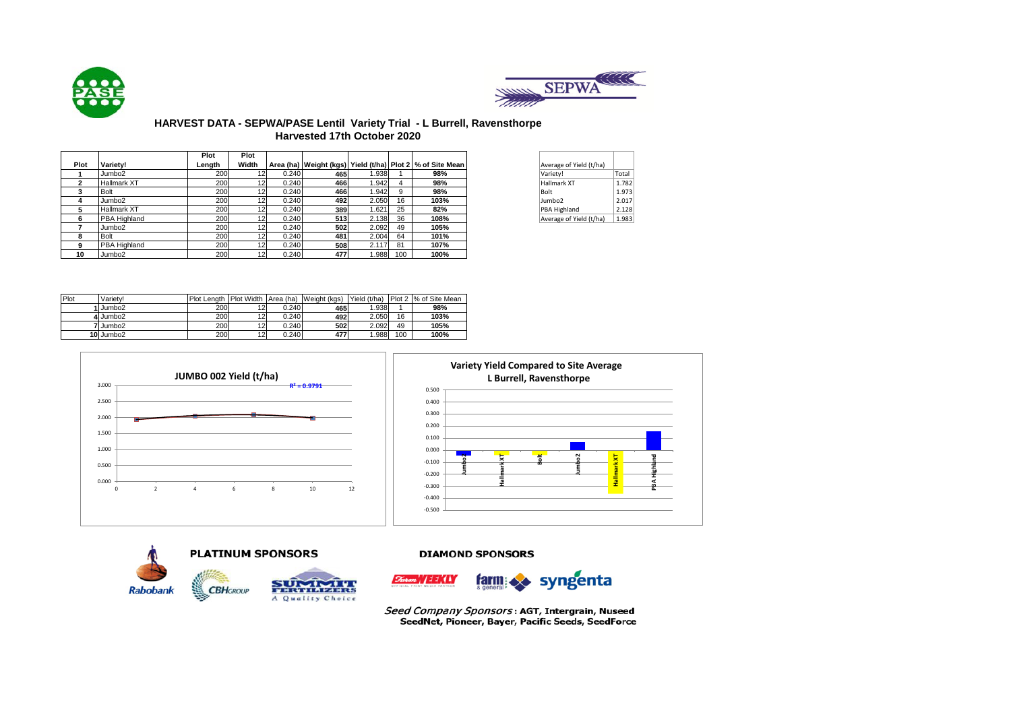



## **HARVEST DATA - SEPWA/PASE Lentil Variety Trial - L Burrell, Ravensthorpe Harvested 17th October 2020**

|      |                    | Plot       | Plot            |       |     |       |     |                                                                   |                         |       |
|------|--------------------|------------|-----------------|-------|-----|-------|-----|-------------------------------------------------------------------|-------------------------|-------|
| Plot | Variety!           | Lenath     | Width           |       |     |       |     | Area (ha)   Weight (kgs)   Yield (t/ha)   Plot 2   % of Site Mean | Average of Yield (t/ha) |       |
|      | Jumbo <sub>2</sub> | 200        | 12 <sub>l</sub> | 0.240 | 465 | 1.938 |     | 98%                                                               | Variety!                | Total |
| ີ    | Hallmark XT        | 200        | 12              | 0.240 | 466 | 1.942 |     | 98%                                                               | <b>Hallmark XT</b>      | 1.782 |
|      | <b>Bolt</b>        | 200        | 12              | 0.240 | 466 | 1.942 |     | 98%                                                               | Bolt                    | 1.973 |
| 4    | Jumbo <sub>2</sub> | 200        | 12              | 0.240 | 492 | 2.050 | 16  | 103%                                                              | Jumbo2                  | 2.017 |
| 5    | Hallmark XT        | 200        | 12              | 0.240 | 389 | 1.621 | 25  | 82%                                                               | PBA Highland            | 2.128 |
| 6    | PBA Highland       | <b>200</b> | 12              | 0.240 | 513 | 2.138 | 36  | 108%                                                              | Average of Yield (t/ha) | 1.983 |
|      | Jumbo <sub>2</sub> | 200        | 12              | 0.240 | 502 | 2.092 | 49  | 105%                                                              |                         |       |
| 8    | <b>Bolt</b>        | 200        | 12              | 0.240 | 481 | 2.004 | 64  | 101%                                                              |                         |       |
| 9    | PBA Highland       | <b>200</b> | 12              | 0.240 | 508 | 2.117 | 81  | 107%                                                              |                         |       |
| 10   | Jumbo2             | 200        | 12              | 0.240 | 477 | 1.988 | 100 | 100%                                                              |                         |       |

| Average of Yield (t/ha) |       |
|-------------------------|-------|
| Variety!                | Total |
| <b>Hallmark XT</b>      | 1.782 |
| Bolt                    | 1.973 |
| Jumbo <sub>2</sub>      | 2.017 |
| PBA Highland            | 2.128 |
| Average of Yield (t/ha) | 1.983 |

| Plot | Variety!           | Plot Length Plot Width |        | Area (ha) | Weight (kgs) | Yield (t/ha) |     | Plot 2 % of Site Mean |
|------|--------------------|------------------------|--------|-----------|--------------|--------------|-----|-----------------------|
|      | Jumbo <sub>2</sub> | 200                    | $\sim$ | 0.240     | 465          | 1.938        |     | 98%                   |
|      | 4 Jumbo2           | 200                    | າາ     | 0.240     | 492          | 2.050        | 16  | 103%                  |
|      | 7 Jumbo2           | 200                    | 12     | 0.240     | 502          | 2.092        | 49  | 105%                  |
|      | 10 Jumbo2          | 200                    | 12     | 0.240     | 477          | .988         | 100 | 100%                  |











Seed Company Sponsors: AGT, Intergrain, Nuseed SeedNet, Pioneer, Bayer, Pacific Seeds, SeedForce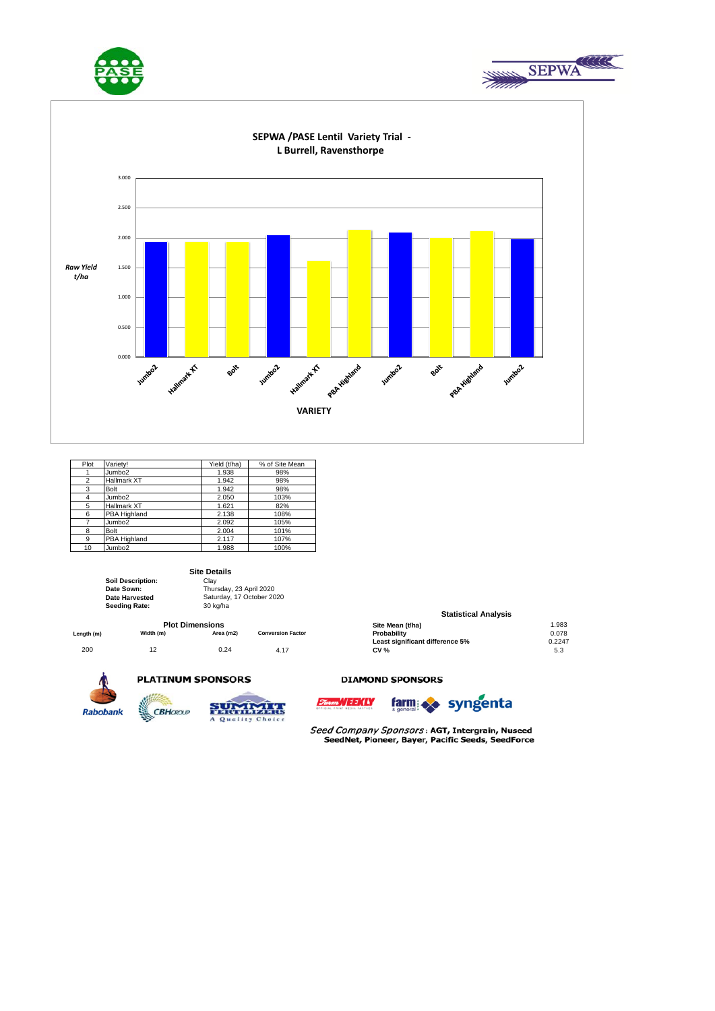





| Plot | Varietv!           | Yield (t/ha) | % of Site Mean |
|------|--------------------|--------------|----------------|
|      | Jumbo <sub>2</sub> | 1.938        | 98%            |
| 2    | <b>Hallmark XT</b> | 1.942        | 98%            |
| 3    | Bolt               | 1.942        | 98%            |
| 4    | Jumbo <sub>2</sub> | 2.050        | 103%           |
| 5    | <b>Hallmark XT</b> | 1.621        | 82%            |
| 6    | PBA Highland       | 2.138        | 108%           |
| 7    | Jumbo <sub>2</sub> | 2.092        | 105%           |
| 8    | Bolt               | 2.004        | 101%           |
| 9    | PBA Highland       | 2.117        | 107%           |
| 10   | Jumbo <sub>2</sub> | 1.988        | 100%           |

#### **Site Details**

| Soil Description:    | Clav                      |
|----------------------|---------------------------|
| Date Sown:           | Thursday, 23 April 2020   |
| Date Harvested       | Saturday, 17 October 2020 |
| <b>Seeding Rate:</b> | 30 kg/ha                  |

|            |           | <b>Plot Dimensions</b> |                          | Site Mean (t/ha)                | .983  |
|------------|-----------|------------------------|--------------------------|---------------------------------|-------|
| Length (m) | Width (m) | Area (m2)              | <b>Conversion Factor</b> | Probability                     | 0.078 |
|            |           |                        |                          | Least significant difference 5% | 0.224 |
| 200        | ے ا       | 0.24                   | 4.17                     | <b>CV %</b>                     | 5.3   |
|            |           |                        |                          |                                 |       |



**Sillie** 

## **PLATINUM SPONSORS**



### **Site Mean (t/ha)** 1.983 **Statistical Analysis**

| 0.078  |
|--------|
| 0.2247 |
| 5.3    |
|        |

#### **DIAMOND SPONSORS**





Seed Company Sponsors: AGT, Intergrain, Nuseed SeedNet, Pioneer, Bayer, Pacific Seeds, SeedForce